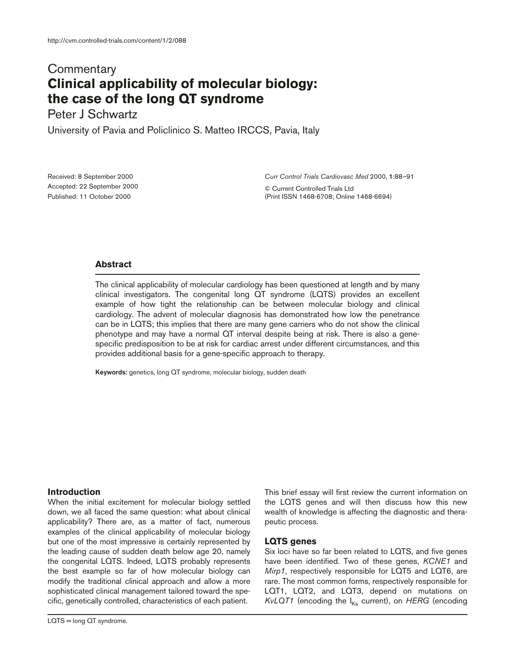# **Commentary Clinical applicability of molecular biology: the case of the long QT syndrome**

Peter J Schwartz

University of Pavia and Policlinico S. Matteo IRCCS, Pavia, Italy

Received: 8 September 2000 Accepted: 22 September 2000 Published: 11 October 2000

*Curr Control Trials Cardiovasc Med* 2000, **1**:88–91

© Current Controlled Trials Ltd (Print ISSN 1468-6708; Online 1468-6694)

## **Abstract**

The clinical applicability of molecular cardiology has been questioned at length and by many clinical investigators. The congenital long QT syndrome (LQTS) provides an excellent example of how tight the relationship can be between molecular biology and clinical cardiology. The advent of molecular diagnosis has demonstrated how low the penetrance can be in LQTS; this implies that there are many gene carriers who do not show the clinical phenotype and may have a normal QT interval despite being at risk. There is also a genespecific predisposition to be at risk for cardiac arrest under different circumstances, and this provides additional basis for a gene-specific approach to therapy.

**Keywords:** genetics, long QT syndrome, molecular biology, sudden death

## **Introduction**

When the initial excitement for molecular biology settled down, we all faced the same question: what about clinical applicability? There are, as a matter of fact, numerous examples of the clinical applicability of molecular biology but one of the most impressive is certainly represented by the leading cause of sudden death below age 20, namely the congenital LQTS. Indeed, LQTS probably represents the best example so far of how molecular biology can modify the traditional clinical approach and allow a more sophisticated clinical management tailored toward the specific, genetically controlled, characteristics of each patient.

LQTS = long QT syndrome.

This brief essay will first review the current information on the LQTS genes and will then discuss how this new wealth of knowledge is affecting the diagnostic and therapeutic process.

## **LQTS genes**

Six loci have so far been related to LQTS, and five genes have been identified. Two of these genes, *KCNE1* and *Mirp1*, respectively responsible for LQT5 and LQT6, are rare. The most common forms, respectively responsible for LQT1, LQT2, and LQT3, depend on mutations on *KvLQT1* (encoding the I<sub>Ks</sub> current), on *HERG* (encoding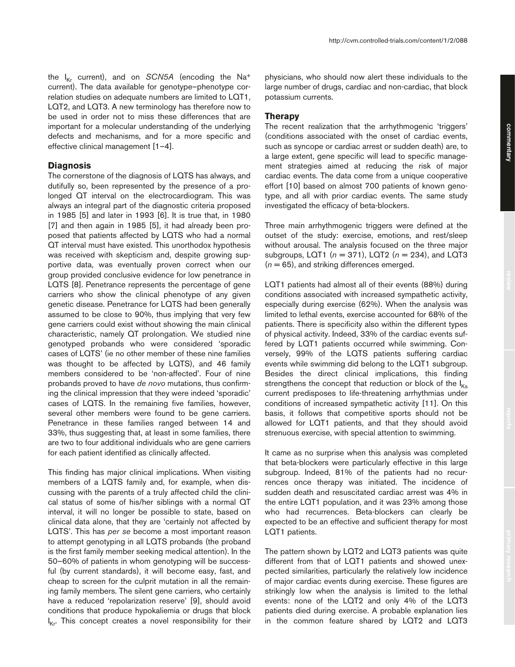the  $I_{K_r}$  current), and on *SCN5A* (encoding the Na<sup>+</sup> current). The data available for genotype–phenotype correlation studies on adequate numbers are limited to LQT1, LQT2, and LQT3. A new terminology has therefore now to be used in order not to miss these differences that are important for a molecular understanding of the underlying defects and mechanisms, and for a more specific and effective clinical management [1–4].

#### **Diagnosis**

The cornerstone of the diagnosis of LQTS has always, and dutifully so, been represented by the presence of a prolonged QT interval on the electrocardiogram. This was always an integral part of the diagnostic criteria proposed in 1985 [5] and later in 1993 [6]. It is true that, in 1980 [7] and then again in 1985 [5], it had already been proposed that patients affected by LQTS who had a normal QT interval must have existed. This unorthodox hypothesis was received with skepticism and, despite growing supportive data, was eventually proven correct when our group provided conclusive evidence for low penetrance in LQTS [8]. Penetrance represents the percentage of gene carriers who show the clinical phenotype of any given genetic disease. Penetrance for LQTS had been generally assumed to be close to 90%, thus implying that very few gene carriers could exist without showing the main clinical characteristic, namely QT prolongation. We studied nine genotyped probands who were considered 'sporadic cases of LQTS' (ie no other member of these nine families was thought to be affected by LQTS), and 46 family members considered to be 'non-affected'. Four of nine probands proved to have *de novo* mutations, thus confirming the clinical impression that they were indeed 'sporadic' cases of LQTS. In the remaining five families, however, several other members were found to be gene carriers. Penetrance in these families ranged between 14 and 33%, thus suggesting that, at least in some families, there are two to four additional individuals who are gene carriers for each patient identified as clinically affected.

This finding has major clinical implications. When visiting members of a LQTS family and, for example, when discussing with the parents of a truly affected child the clinical status of some of his/her siblings with a normal QT interval, it will no longer be possible to state, based on clinical data alone, that they are 'certainly not affected by LQTS'. This has *per se* become a most important reason to attempt genotyping in all LQTS probands (the proband is the first family member seeking medical attention). In the 50–60% of patients in whom genotyping will be successful (by current standards), it will become easy, fast, and cheap to screen for the culprit mutation in all the remaining family members. The silent gene carriers, who certainly have a reduced 'repolarization reserve' [9], should avoid conditions that produce hypokaliemia or drugs that block I Kr. This concept creates a novel responsibility for their

physicians, who should now alert these individuals to the large number of drugs, cardiac and non-cardiac, that block potassium currents.

### **Therapy**

The recent realization that the arrhythmogenic 'triggers' (conditions associated with the onset of cardiac events, such as syncope or cardiac arrest or sudden death) are, to a large extent, gene specific will lead to specific management strategies aimed at reducing the risk of major cardiac events. The data come from a unique cooperative effort [10] based on almost 700 patients of known genotype, and all with prior cardiac events. The same study investigated the efficacy of beta-blockers.

Three main arrhythmogenic triggers were defined at the outset of the study: exercise, emotions, and rest/sleep without arousal. The analysis focused on the three major subgroups, LQT1 (*n* = 371), LQT2 (*n* = 234), and LQT3  $(n = 65)$ , and striking differences emerged.

LQT1 patients had almost all of their events (88%) during conditions associated with increased sympathetic activity, especially during exercise (62%). When the analysis was limited to lethal events, exercise accounted for 68% of the patients. There is specificity also within the different types of physical activity. Indeed, 33% of the cardiac events suffered by LQT1 patients occurred while swimming. Conversely, 99% of the LQTS patients suffering cardiac events while swimming did belong to the LQT1 subgroup. Besides the direct clinical implications, this finding strengthens the concept that reduction or block of the  $I_{Ks}$ current predisposes to life-threatening arrhythmias under conditions of increased sympathetic activity [11]. On this basis, it follows that competitive sports should not be allowed for LQT1 patients, and that they should avoid strenuous exercise, with special attention to swimming.

It came as no surprise when this analysis was completed that beta-blockers were particularly effective in this large subgroup. Indeed, 81% of the patients had no recurrences once therapy was initiated. The incidence of sudden death and resuscitated cardiac arrest was 4% in the entire LQT1 population, and it was 23% among those who had recurrences. Beta-blockers can clearly be expected to be an effective and sufficient therapy for most LQT1 patients.

The pattern shown by LQT2 and LQT3 patients was quite different from that of LQT1 patients and showed unexpected similarities, particularly the relatively low incidence of major cardiac events during exercise. These figures are strikingly low when the analysis is limited to the lethal events: none of the LQT2 and only 4% of the LQT3 patients died during exercise. A probable explanation lies in the common feature shared by LQT2 and LQT3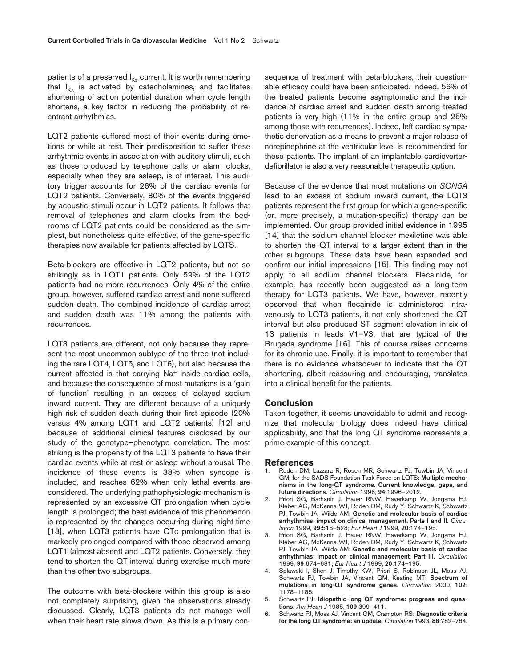patients of a preserved  $I_{Ks}$  current. It is worth remembering that  $I_{Ks}$  is activated by catecholamines, and facilitates shortening of action potential duration when cycle length shortens, a key factor in reducing the probability of reentrant arrhythmias.

LQT2 patients suffered most of their events during emotions or while at rest. Their predisposition to suffer these arrhythmic events in association with auditory stimuli, such as those produced by telephone calls or alarm clocks, especially when they are asleep, is of interest. This auditory trigger accounts for 26% of the cardiac events for LQT2 patients. Conversely, 80% of the events triggered by acoustic stimuli occur in LQT2 patients. It follows that removal of telephones and alarm clocks from the bedrooms of LQT2 patients could be considered as the simplest, but nonetheless quite effective, of the gene-specific therapies now available for patients affected by LQTS.

Beta-blockers are effective in LQT2 patients, but not so strikingly as in LQT1 patients. Only 59% of the LQT2 patients had no more recurrences. Only 4% of the entire group, however, suffered cardiac arrest and none suffered sudden death. The combined incidence of cardiac arrest and sudden death was 11% among the patients with recurrences.

LQT3 patients are different, not only because they represent the most uncommon subtype of the three (not including the rare LQT4, LQT5, and LQT6), but also because the current affected is that carrying Na<sup>+</sup> inside cardiac cells, and because the consequence of most mutations is a 'gain of function' resulting in an excess of delayed sodium inward current. They are different because of a uniquely high risk of sudden death during their first episode (20% versus 4% among LQT1 and LQT2 patients) [12] and because of additional clinical features disclosed by our study of the genotype–phenotype correlation. The most striking is the propensity of the LQT3 patients to have their cardiac events while at rest or asleep without arousal. The incidence of these events is 38% when syncope is included, and reaches 62% when only lethal events are considered. The underlying pathophysiologic mechanism is represented by an excessive QT prolongation when cycle length is prolonged; the best evidence of this phenomenon is represented by the changes occurring during night-time [13], when LQT3 patients have QTc prolongation that is markedly prolonged compared with those observed among LQT1 (almost absent) and LQT2 patients. Conversely, they tend to shorten the QT interval during exercise much more than the other two subgroups.

The outcome with beta-blockers within this group is also not completely surprising, given the observations already discussed. Clearly, LQT3 patients do not manage well when their heart rate slows down. As this is a primary consequence of treatment with beta-blockers, their questionable efficacy could have been anticipated. Indeed, 56% of the treated patients become asymptomatic and the incidence of cardiac arrest and sudden death among treated patients is very high (11% in the entire group and 25% among those with recurrences). Indeed, left cardiac sympathetic denervation as a means to prevent a major release of norepinephrine at the ventricular level is recommended for these patients. The implant of an implantable cardioverterdefibrillator is also a very reasonable therapeutic option.

Because of the evidence that most mutations on *SCN5A* lead to an excess of sodium inward current, the LQT3 patients represent the first group for which a gene-specific (or, more precisely, a mutation-specific) therapy can be implemented. Our group provided initial evidence in 1995 [14] that the sodium channel blocker mexiletine was able to shorten the QT interval to a larger extent than in the other subgroups. These data have been expanded and confirm our initial impressions [15]. This finding may not apply to all sodium channel blockers. Flecainide, for example, has recently been suggested as a long-term therapy for LQT3 patients. We have, however, recently observed that when flecainide is administered intravenously to LQT3 patients, it not only shortened the QT interval but also produced ST segment elevation in six of 13 patients in leads V1–V3, that are typical of the Brugada syndrome [16]. This of course raises concerns for its chronic use. Finally, it is important to remember that there is no evidence whatsoever to indicate that the QT shortening, albeit reassuring and encouraging, translates into a clinical benefit for the patients.

#### **Conclusion**

Taken together, it seems unavoidable to admit and recognize that molecular biology does indeed have clinical applicability, and that the long QT syndrome represents a prime example of this concept.

#### **References**

- 1. Roden DM, Lazzara R, Rosen MR, Schwartz PJ, Towbin JA, Vincent GM, for the SADS Foundation Task Force on LQTS: **Multiple mechanisms in the long-QT syndrome. Current knowledge, gaps, and future directions**. *Circulation* 1996, **94**:1996–2012.
- 2. Priori SG, Barhanin J, Hauer RNW, Haverkamp W, Jongsma HJ, Kleber AG, McKenna WJ, Roden DM, Rudy Y, Schwartz K, Schwartz PJ, Towbin JA, Wilde AM: **Genetic and molecular basis of cardiac arrhythmias: impact on clinical management. Parts I and II**. *Circulation* 1999, **99**:518–528; *Eur Heart J* 1999, **20**:174–195.
- 3. Priori SG, Barhanin J, Hauer RNW, Haverkamp W, Jongsma HJ, Kleber AG, McKenna WJ, Roden DM, Rudy Y, Schwartz K, Schwartz PJ, Towbin JA, Wilde AM: **Genetic and molecular basis of cardiac arrhythmias: impact on clinical management. Part III**. *Circulation* 1999, **99**:674–681; *Eur Heart J* 1999, **20**:174–195.
- 4. Splawski I, Shen J, Timothy KW, Priori S, Robinson JL, Moss AJ, Schwartz PJ, Towbin JA, Vincent GM, Keating MT: **Spectrum of mutations in long-QT syndrome genes**. *Circulation* 2000, **102**: 1178–1185.
- 5. Schwartz PJ: **Idiopathic long QT syndrome: progress and questions**. *Am Heart J* 1985, **109**:399–411.
- 6. Schwartz PJ, Moss AJ, Vincent GM, Crampton RS: **Diagnostic criteria for the long QT syndrome: an update**. *Circulation* 1993, **88**:782–784.